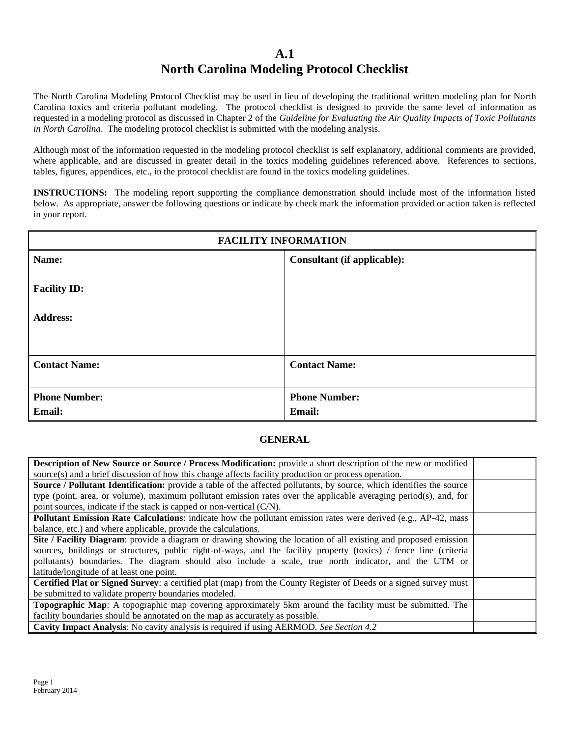## **A.1 North Carolina Modeling Protocol Checklist**

The North Carolina Modeling Protocol Checklist may be used in lieu of developing the traditional written modeling plan for North Carolina toxics and criteria pollutant modeling. The protocol checklist is designed to provide the same level of information as requested in a modeling protocol as discussed in Chapter 2 of the *Guideline for Evaluating the Air Quality Impacts of Toxic Pollutants in North Carolina*. The modeling protocol checklist is submitted with the modeling analysis.

Although most of the information requested in the modeling protocol checklist is self explanatory, additional comments are provided, where applicable, and are discussed in greater detail in the toxics modeling guidelines referenced above. References to sections, tables, figures, appendices, etc., in the protocol checklist are found in the toxics modeling guidelines.

**INSTRUCTIONS:** The modeling report supporting the compliance demonstration should include most of the information listed below. As appropriate, answer the following questions or indicate by check mark the information provided or action taken is reflected in your report.

| <b>FACILITY INFORMATION</b>            |                                    |  |
|----------------------------------------|------------------------------------|--|
| Name:                                  | <b>Consultant (if applicable):</b> |  |
| <b>Facility ID:</b><br><b>Address:</b> |                                    |  |
|                                        |                                    |  |
| <b>Contact Name:</b>                   | <b>Contact Name:</b>               |  |
| <b>Phone Number:</b><br><b>Email:</b>  | <b>Phone Number:</b><br>Email:     |  |

## **GENERAL**

| Description of New Source or Source / Process Modification: provide a short description of the new or modified               |  |
|------------------------------------------------------------------------------------------------------------------------------|--|
| source(s) and a brief discussion of how this change affects facility production or process operation.                        |  |
| <b>Source / Pollutant Identification:</b> provide a table of the affected pollutants, by source, which identifies the source |  |
| type (point, area, or volume), maximum pollutant emission rates over the applicable averaging period(s), and, for            |  |
| point sources, indicate if the stack is capped or non-vertical $(C/N)$ .                                                     |  |
| <b>Pollutant Emission Rate Calculations:</b> indicate how the pollutant emission rates were derived (e.g., AP-42, mass       |  |
| balance, etc.) and where applicable, provide the calculations.                                                               |  |
| Site / Facility Diagram: provide a diagram or drawing showing the location of all existing and proposed emission             |  |
| sources, buildings or structures, public right-of-ways, and the facility property (toxics) / fence line (criteria            |  |
| pollutants) boundaries. The diagram should also include a scale, true north indicator, and the UTM or                        |  |
| latitude/longitude of at least one point.                                                                                    |  |
| Certified Plat or Signed Survey: a certified plat (map) from the County Register of Deeds or a signed survey must            |  |
| be submitted to validate property boundaries modeled.                                                                        |  |
| Topographic Map: A topographic map covering approximately 5km around the facility must be submitted. The                     |  |
| facility boundaries should be annotated on the map as accurately as possible.                                                |  |
| Cavity Impact Analysis: No cavity analysis is required if using AERMOD. See Section 4.2                                      |  |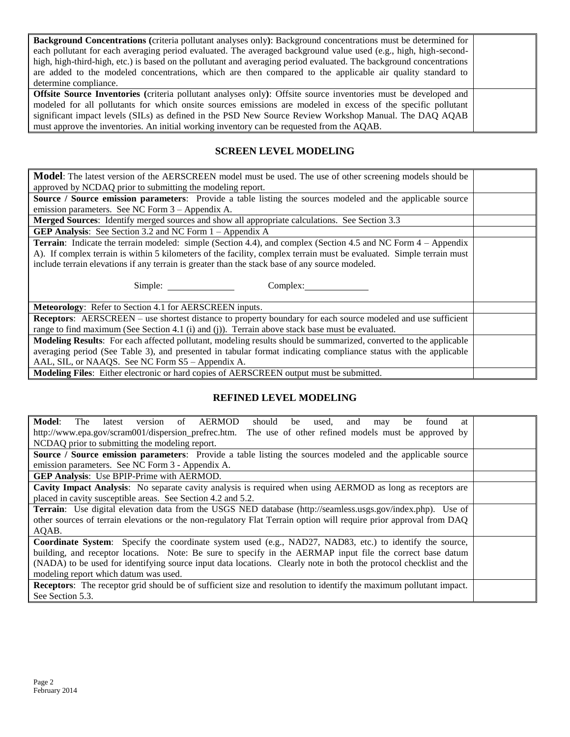| <b>Background Concentrations</b> (criteria pollutant analyses only): Background concentrations must be determined for<br>each pollutant for each averaging period evaluated. The averaged background value used (e.g., high, high-second-<br>high, high-third-high, etc.) is based on the pollutant and averaging period evaluated. The background concentrations<br>are added to the modeled concentrations, which are then compared to the applicable air quality standard to<br>determine compliance. |  |
|----------------------------------------------------------------------------------------------------------------------------------------------------------------------------------------------------------------------------------------------------------------------------------------------------------------------------------------------------------------------------------------------------------------------------------------------------------------------------------------------------------|--|
| <b>Offsite Source Inventories</b> (criteria pollutant analyses only): Offsite source inventories must be developed and<br>modeled for all pollutants for which onsite sources emissions are modeled in excess of the specific pollutant<br>significant impact levels (SILs) as defined in the PSD New Source Review Workshop Manual. The DAQ AQAB<br>must approve the inventories. An initial working inventory can be requested from the AQAB.                                                          |  |

## **SCREEN LEVEL MODELING**

| <b>Model</b> : The latest version of the AERSCREEN model must be used. The use of other screening models should be     |  |
|------------------------------------------------------------------------------------------------------------------------|--|
| approved by NCDAQ prior to submitting the modeling report.                                                             |  |
| Source / Source emission parameters: Provide a table listing the sources modeled and the applicable source             |  |
| emission parameters. See NC Form 3 – Appendix A.                                                                       |  |
| <b>Merged Sources:</b> Identify merged sources and show all appropriate calculations. See Section 3.3                  |  |
| <b>GEP Analysis:</b> See Section 3.2 and NC Form $1 -$ Appendix A                                                      |  |
| <b>Terrain</b> : Indicate the terrain modeled: simple (Section 4.4), and complex (Section 4.5 and NC Form 4 – Appendix |  |
| A). If complex terrain is within 5 kilometers of the facility, complex terrain must be evaluated. Simple terrain must  |  |
| include terrain elevations if any terrain is greater than the stack base of any source modeled.                        |  |
|                                                                                                                        |  |
| Simple:<br>Complex:                                                                                                    |  |
|                                                                                                                        |  |
| Meteorology: Refer to Section 4.1 for AERSCREEN inputs.                                                                |  |
| <b>Receptors:</b> AERSCREEN – use shortest distance to property boundary for each source modeled and use sufficient    |  |
| range to find maximum (See Section 4.1 (i) and (j)). Terrain above stack base must be evaluated.                       |  |
| Modeling Results: For each affected pollutant, modeling results should be summarized, converted to the applicable      |  |
| averaging period (See Table 3), and presented in tabular format indicating compliance status with the applicable       |  |
| AAL, SIL, or NAAQS. See NC Form S5 – Appendix A.                                                                       |  |
| Modeling Files: Either electronic or hard copies of AERSCREEN output must be submitted.                                |  |

## **REFINED LEVEL MODELING**

| AERMOD<br>Model:<br><b>The</b><br>should<br>latest<br>used,<br>of<br>and<br>version<br>found<br>be<br>at.<br>be<br>may    |  |
|---------------------------------------------------------------------------------------------------------------------------|--|
| http://www.epa.gov/scram001/dispersion_prefrec.htm.<br>The use of other refined models must be approved by                |  |
| NCDAQ prior to submitting the modeling report.                                                                            |  |
| Source / Source emission parameters: Provide a table listing the sources modeled and the applicable source                |  |
| emission parameters. See NC Form 3 - Appendix A.                                                                          |  |
| GEP Analysis: Use BPIP-Prime with AERMOD.                                                                                 |  |
| Cavity Impact Analysis: No separate cavity analysis is required when using AERMOD as long as receptors are                |  |
| placed in cavity susceptible areas. See Section 4.2 and 5.2.                                                              |  |
| Terrain: Use digital elevation data from the USGS NED database (http://seamless.usgs.gov/index.php). Use of               |  |
| other sources of terrain elevations or the non-regulatory Flat Terrain option will require prior approval from DAQ        |  |
| AQAB.                                                                                                                     |  |
| <b>Coordinate System</b> : Specify the coordinate system used (e.g., NAD27, NAD83, etc.) to identify the source,          |  |
| building, and receptor locations. Note: Be sure to specify in the AERMAP input file the correct base datum                |  |
| (NADA) to be used for identifying source input data locations. Clearly note in both the protocol checklist and the        |  |
| modeling report which datum was used.                                                                                     |  |
| <b>Receptors:</b> The receptor grid should be of sufficient size and resolution to identify the maximum pollutant impact. |  |
| See Section 5.3.                                                                                                          |  |